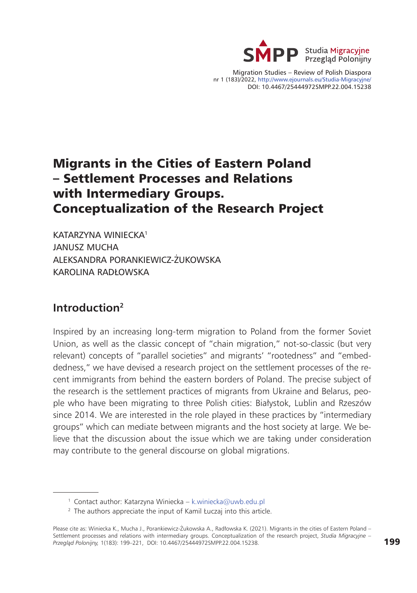

Migration Studies – Review of Polish Diaspora nr 1 (183)/2022, http://www.ejournals.eu/Studia-Migracyjne/ DOI: 10.4467/25444972SMPP.22.004.15238

# Migrants in the Cities of Eastern Poland – Settlement Processes and Relations with Intermediary Groups. Conceptualization of the Research Project

KATARZYNA WINIECKA1 JANUSZ MUCHA ALEKSANDRA PORANKIEWICZ-ŻUKOWSKA KAROLINA RADŁOWSKA

### **Introduction2**

Inspired by an increasing long-term migration to Poland from the former Soviet Union, as well as the classic concept of "chain migration," not-so-classic (but very relevant) concepts of "parallel societies" and migrants' "rootedness" and "embeddedness," we have devised a research project on the settlement processes of the recent immigrants from behind the eastern borders of Poland. The precise subject of the research is the settlement practices of migrants from Ukraine and Belarus, people who have been migrating to three Polish cities: Białystok, Lublin and Rzeszów since 2014. We are interested in the role played in these practices by "intermediary groups" which can mediate between migrants and the host society at large. We believe that the discussion about the issue which we are taking under consideration may contribute to the general discourse on global migrations.

<sup>&</sup>lt;sup>1</sup> Contact author: Katarzyna Winiecka – [k.winiecka@uwb.edu.pl](mailto:k.winiecka@uwb.edu.pl)

 $2$  The authors appreciate the input of Kamil Łuczaj into this article.

Please cite as: Winiecka K., Mucha J., Porankiewicz-Żukowska A., Radłowska K. (2021). Migrants in the cities of Eastern Poland – Settlement processes and relations with intermediary groups. Conceptualization of the research project, *Studia Migracyjne – Przegląd Polonijny,* 1(183): 199–221, DOI: 10.4467/25444972SMPP.22.004.15238.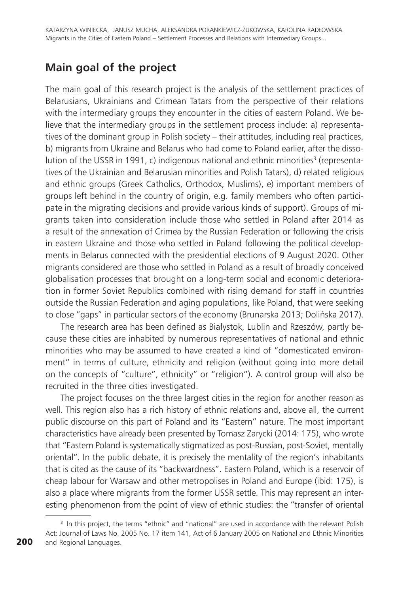## **Main goal of the project**

The main goal of this research project is the analysis of the settlement practices of Belarusians, Ukrainians and Crimean Tatars from the perspective of their relations with the intermediary groups they encounter in the cities of eastern Poland. We believe that the intermediary groups in the settlement process include: a) representatives of the dominant group in Polish society – their attitudes, including real practices, b) migrants from Ukraine and Belarus who had come to Poland earlier, after the dissolution of the USSR in 1991, c) indigenous national and ethnic minorities<sup>3</sup> (representatives of the Ukrainian and Belarusian minorities and Polish Tatars), d) related religious and ethnic groups (Greek Catholics, Orthodox, Muslims), e) important members of groups left behind in the country of origin, e.g. family members who often participate in the migrating decisions and provide various kinds of support). Groups of migrants taken into consideration include those who settled in Poland after 2014 as a result of the annexation of Crimea by the Russian Federation or following the crisis in eastern Ukraine and those who settled in Poland following the political developments in Belarus connected with the presidential elections of 9 August 2020. Other migrants considered are those who settled in Poland as a result of broadly conceived globalisation processes that brought on a long-term social and economic deterioration in former Soviet Republics combined with rising demand for staff in countries outside the Russian Federation and aging populations, like Poland, that were seeking to close "gaps" in particular sectors of the economy (Brunarska 2013; Dolińska 2017).

The research area has been defined as Białystok, Lublin and Rzeszów, partly because these cities are inhabited by numerous representatives of national and ethnic minorities who may be assumed to have created a kind of "domesticated environment" in terms of culture, ethnicity and religion (without going into more detail on the concepts of "culture", ethnicity" or "religion"). A control group will also be recruited in the three cities investigated.

The project focuses on the three largest cities in the region for another reason as well. This region also has a rich history of ethnic relations and, above all, the current public discourse on this part of Poland and its "Eastern" nature. The most important characteristics have already been presented by Tomasz Zarycki (2014: 175), who wrote that "Eastern Poland is systematically stigmatized as post-Russian, post-Soviet, mentally oriental". In the public debate, it is precisely the mentality of the region's inhabitants that is cited as the cause of its "backwardness". Eastern Poland, which is a reservoir of cheap labour for Warsaw and other metropolises in Poland and Europe (ibid: 175), is also a place where migrants from the former USSR settle. This may represent an interesting phenomenon from the point of view of ethnic studies: the "transfer of oriental

<sup>&</sup>lt;sup>3</sup> In this project, the terms "ethnic" and "national" are used in accordance with the relevant Polish Act: Journal of Laws No. 2005 No. 17 item 141, Act of 6 January 2005 on National and Ethnic Minorities and Regional Languages.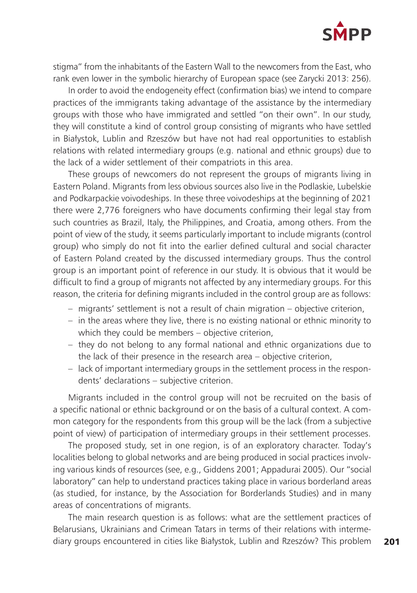

stigma" from the inhabitants of the Eastern Wall to the newcomers from the East, who rank even lower in the symbolic hierarchy of European space (see Zarycki 2013: 256).

In order to avoid the endogeneity effect (confirmation bias) we intend to compare practices of the immigrants taking advantage of the assistance by the intermediary groups with those who have immigrated and settled "on their own". In our study, they will constitute a kind of control group consisting of migrants who have settled in Białystok, Lublin and Rzeszów but have not had real opportunities to establish relations with related intermediary groups (e.g. national and ethnic groups) due to the lack of a wider settlement of their compatriots in this area.

These groups of newcomers do not represent the groups of migrants living in Eastern Poland. Migrants from less obvious sources also live in the Podlaskie, Lubelskie and Podkarpackie voivodeships. In these three voivodeships at the beginning of 2021 there were 2,776 foreigners who have documents confirming their legal stay from such countries as Brazil, Italy, the Philippines, and Croatia, among others. From the point of view of the study, it seems particularly important to include migrants (control group) who simply do not fit into the earlier defined cultural and social character of Eastern Poland created by the discussed intermediary groups. Thus the control group is an important point of reference in our study. It is obvious that it would be difficult to find a group of migrants not affected by any intermediary groups. For this reason, the criteria for defining migrants included in the control group are as follows:

- migrants' settlement is not a result of chain migration objective criterion,
- in the areas where they live, there is no existing national or ethnic minority to which they could be members – objective criterion,
- they do not belong to any formal national and ethnic organizations due to the lack of their presence in the research area – objective criterion,
- lack of important intermediary groups in the settlement process in the respondents' declarations – subjective criterion.

Migrants included in the control group will not be recruited on the basis of a specific national or ethnic background or on the basis of a cultural context. A common category for the respondents from this group will be the lack (from a subjective point of view) of participation of intermediary groups in their settlement processes.

The proposed study, set in one region, is of an exploratory character. Today's localities belong to global networks and are being produced in social practices involving various kinds of resources (see, e.g., Giddens 2001; Appadurai 2005). Our "social laboratory" can help to understand practices taking place in various borderland areas (as studied, for instance, by the Association for Borderlands Studies) and in many areas of concentrations of migrants.

The main research question is as follows: what are the settlement practices of Belarusians, Ukrainians and Crimean Tatars in terms of their relations with intermediary groups encountered in cities like Białystok, Lublin and Rzeszów? This problem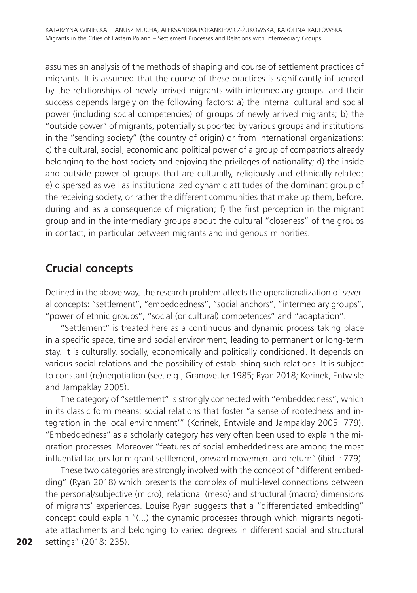assumes an analysis of the methods of shaping and course of settlement practices of migrants. It is assumed that the course of these practices is significantly influenced by the relationships of newly arrived migrants with intermediary groups, and their success depends largely on the following factors: a) the internal cultural and social power (including social competencies) of groups of newly arrived migrants; b) the "outside power" of migrants, potentially supported by various groups and institutions in the "sending society" (the country of origin) or from international organizations; c) the cultural, social, economic and political power of a group of compatriots already belonging to the host society and enjoying the privileges of nationality; d) the inside and outside power of groups that are culturally, religiously and ethnically related; e) dispersed as well as institutionalized dynamic attitudes of the dominant group of the receiving society, or rather the different communities that make up them, before, during and as a consequence of migration; f) the first perception in the migrant group and in the intermediary groups about the cultural "closeness" of the groups in contact, in particular between migrants and indigenous minorities.

## **Crucial concepts**

Defined in the above way, the research problem affects the operationalization of several concepts: "settlement", "embeddedness", "social anchors", "intermediary groups", "power of ethnic groups", "social (or cultural) competences" and "adaptation".

"Settlement" is treated here as a continuous and dynamic process taking place in a specific space, time and social environment, leading to permanent or long-term stay. It is culturally, socially, economically and politically conditioned. It depends on various social relations and the possibility of establishing such relations. It is subject to constant (re)negotiation (see, e.g., Granovetter 1985; Ryan 2018; Korinek, Entwisle and Jampaklay 2005).

The category of "settlement" is strongly connected with "embeddedness", which in its classic form means: social relations that foster "a sense of rootedness and integration in the local environment'" (Korinek, Entwisle and Jampaklay 2005: 779). "Embeddedness" as a scholarly category has very often been used to explain the migration processes. Moreover "features of social embeddedness are among the most influential factors for migrant settlement, onward movement and return" (ibid. : 779).

These two categories are strongly involved with the concept of "different embedding" (Ryan 2018) which presents the complex of multi-level connections between the personal/subjective (micro), relational (meso) and structural (macro) dimensions of migrants' experiences. Louise Ryan suggests that a "differentiated embedding" concept could explain "(...) the dynamic processes through which migrants negotiate attachments and belonging to varied degrees in different social and structural settings" (2018: 235).

202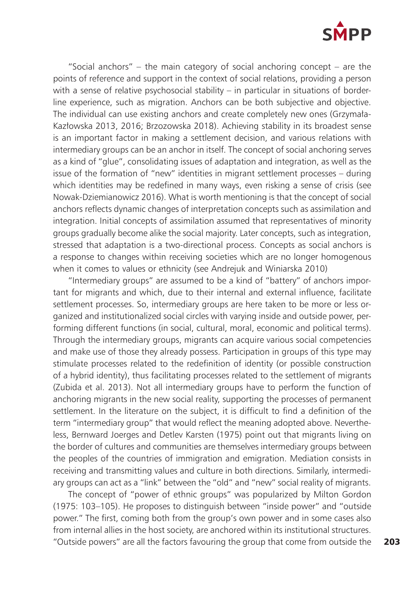

"Social anchors" – the main category of social anchoring concept – are the points of reference and support in the context of social relations, providing a person with a sense of relative psychosocial stability – in particular in situations of borderline experience, such as migration. Anchors can be both subjective and objective. The individual can use existing anchors and create completely new ones (Grzymała-Kazłowska 2013, 2016; Brzozowska 2018). Achieving stability in its broadest sense is an important factor in making a settlement decision, and various relations with intermediary groups can be an anchor in itself. The concept of social anchoring serves as a kind of "glue", consolidating issues of adaptation and integration, as well as the issue of the formation of "new" identities in migrant settlement processes – during which identities may be redefined in many ways, even risking a sense of crisis (see Nowak-Dziemianowicz 2016). What is worth mentioning is that the concept of social anchors reflects dynamic changes of interpretation concepts such as assimilation and integration. Initial concepts of assimilation assumed that representatives of minority groups gradually become alike the social majority. Later concepts, such as integration, stressed that adaptation is a two-directional process. Concepts as social anchors is a response to changes within receiving societies which are no longer homogenous when it comes to values or ethnicity (see Andrejuk and Winiarska 2010)

"Intermediary groups" are assumed to be a kind of "battery" of anchors important for migrants and which, due to their internal and external influence, facilitate settlement processes. So, intermediary groups are here taken to be more or less organized and institutionalized social circles with varying inside and outside power, performing different functions (in social, cultural, moral, economic and political terms). Through the intermediary groups, migrants can acquire various social competencies and make use of those they already possess. Participation in groups of this type may stimulate processes related to the redefinition of identity (or possible construction of a hybrid identity), thus facilitating processes related to the settlement of migrants (Zubida et al. 2013). Not all intermediary groups have to perform the function of anchoring migrants in the new social reality, supporting the processes of permanent settlement. In the literature on the subject, it is difficult to find a definition of the term "intermediary group" that would reflect the meaning adopted above. Nevertheless, Bernward Joerges and Detlev Karsten (1975) point out that migrants living on the border of cultures and communities are themselves intermediary groups between the peoples of the countries of immigration and emigration. Mediation consists in receiving and transmitting values and culture in both directions. Similarly, intermediary groups can act as a "link" between the "old" and "new" social reality of migrants.

The concept of "power of ethnic groups" was popularized by Milton Gordon (1975: 103–105). He proposes to distinguish between "inside power" and "outside power." The first, coming both from the group's own power and in some cases also from internal allies in the host society, are anchored within its institutional structures. "Outside powers" are all the factors favouring the group that come from outside the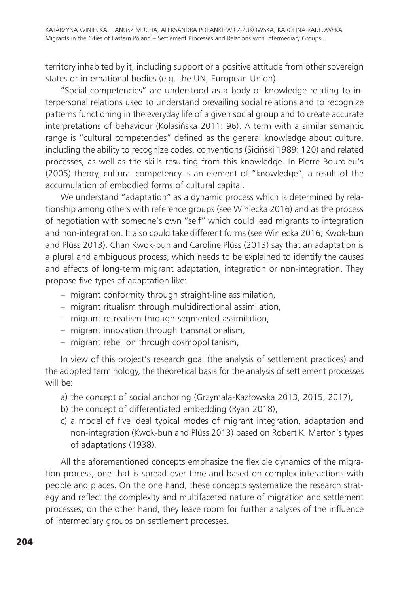territory inhabited by it, including support or a positive attitude from other sovereign states or international bodies (e.g. the UN, European Union).

"Social competencies" are understood as a body of knowledge relating to interpersonal relations used to understand prevailing social relations and to recognize patterns functioning in the everyday life of a given social group and to create accurate interpretations of behaviour (Kolasińska 2011: 96). A term with a similar semantic range is "cultural competencies" defined as the general knowledge about culture, including the ability to recognize codes, conventions (Siciński 1989: 120) and related processes, as well as the skills resulting from this knowledge. In Pierre Bourdieu's (2005) theory, cultural competency is an element of "knowledge", a result of the accumulation of embodied forms of cultural capital.

We understand "adaptation" as a dynamic process which is determined by relationship among others with reference groups (see Winiecka 2016) and as the process of negotiation with someone's own "self" which could lead migrants to integration and non-integration. It also could take different forms (see Winiecka 2016; Kwok-bun and Plüss 2013). Chan Kwok-bun and Caroline Plüss (2013) say that an adaptation is a plural and ambiguous process, which needs to be explained to identify the causes and effects of long-term migrant adaptation, integration or non-integration. They propose five types of adaptation like:

- migrant conformity through straight-line assimilation,
- migrant ritualism through multidirectional assimilation,
- migrant retreatism through segmented assimilation,
- migrant innovation through transnationalism,
- migrant rebellion through cosmopolitanism,

In view of this project's research goal (the analysis of settlement practices) and the adopted terminology, the theoretical basis for the analysis of settlement processes will be:

- a) the concept of social anchoring (Grzymała-Kazłowska 2013, 2015, 2017),
- b) the concept of differentiated embedding (Ryan 2018),
- c) a model of five ideal typical modes of migrant integration, adaptation and non-integration (Kwok-bun and Plüss 2013) based on Robert K. Merton's types of adaptations (1938).

All the aforementioned concepts emphasize the flexible dynamics of the migration process, one that is spread over time and based on complex interactions with people and places. On the one hand, these concepts systematize the research strategy and reflect the complexity and multifaceted nature of migration and settlement processes; on the other hand, they leave room for further analyses of the influence of intermediary groups on settlement processes.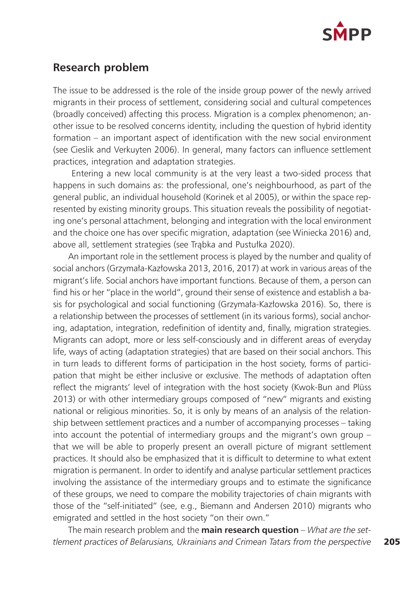

#### **Research problem**

The issue to be addressed is the role of the inside group power of the newly arrived migrants in their process of settlement, considering social and cultural competences (broadly conceived) affecting this process. Migration is a complex phenomenon; another issue to be resolved concerns identity, including the question of hybrid identity formation – an important aspect of identification with the new social environment (see Cieslik and Verkuyten 2006). In general, many factors can influence settlement practices, integration and adaptation strategies.

 Entering a new local community is at the very least a two-sided process that happens in such domains as: the professional, one's neighbourhood, as part of the general public, an individual household (Korinek et al 2005), or within the space represented by existing minority groups. This situation reveals the possibility of negotiating one's personal attachment, belonging and integration with the local environment and the choice one has over specific migration, adaptation (see Winiecka 2016) and, above all, settlement strategies (see Trąbka and Pustułka 2020).

An important role in the settlement process is played by the number and quality of social anchors (Grzymała-Kazłowska 2013, 2016, 2017) at work in various areas of the migrant's life. Social anchors have important functions. Because of them, a person can find his or her "place in the world", ground their sense of existence and establish a basis for psychological and social functioning (Grzymała-Kazłowska 2016). So, there is a relationship between the processes of settlement (in its various forms), social anchoring, adaptation, integration, redefinition of identity and, finally, migration strategies. Migrants can adopt, more or less self-consciously and in different areas of everyday life, ways of acting (adaptation strategies) that are based on their social anchors. This in turn leads to different forms of participation in the host society, forms of participation that might be either inclusive or exclusive. The methods of adaptation often reflect the migrants' level of integration with the host society (Kwok-Bun and Plüss 2013) or with other intermediary groups composed of "new" migrants and existing national or religious minorities. So, it is only by means of an analysis of the relationship between settlement practices and a number of accompanying processes – taking into account the potential of intermediary groups and the migrant's own group – that we will be able to properly present an overall picture of migrant settlement practices. It should also be emphasized that it is difficult to determine to what extent migration is permanent. In order to identify and analyse particular settlement practices involving the assistance of the intermediary groups and to estimate the significance of these groups, we need to compare the mobility trajectories of chain migrants with those of the "self-initiated" (see, e.g., Biemann and Andersen 2010) migrants who emigrated and settled in the host society "on their own."

The main research problem and the **main research question** – *What are the settlement practices of Belarusians, Ukrainians and Crimean Tatars from the perspective*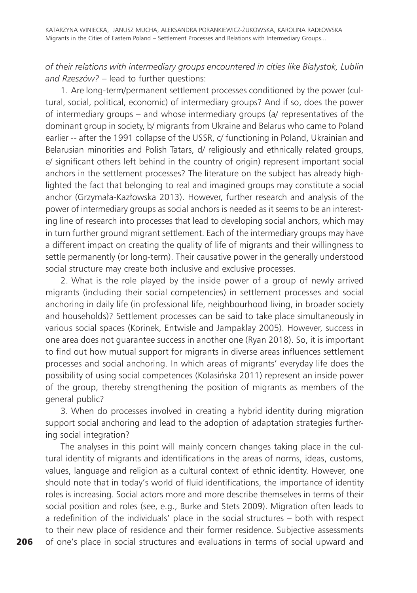*of their relations with intermediary groups encountered in cities like Białystok, Lublin and Rzeszów?* – lead to further questions:

1. Are long-term/permanent settlement processes conditioned by the power (cultural, social, political, economic) of intermediary groups? And if so, does the power of intermediary groups – and whose intermediary groups (a/ representatives of the dominant group in society, b/ migrants from Ukraine and Belarus who came to Poland earlier -- after the 1991 collapse of the USSR, c/ functioning in Poland, Ukrainian and Belarusian minorities and Polish Tatars, d/ religiously and ethnically related groups, e/ significant others left behind in the country of origin) represent important social anchors in the settlement processes? The literature on the subject has already highlighted the fact that belonging to real and imagined groups may constitute a social anchor (Grzymała-Kazłowska 2013). However, further research and analysis of the power of intermediary groups as social anchors is needed as it seems to be an interesting line of research into processes that lead to developing social anchors, which may in turn further ground migrant settlement. Each of the intermediary groups may have a different impact on creating the quality of life of migrants and their willingness to settle permanently (or long-term). Their causative power in the generally understood social structure may create both inclusive and exclusive processes.

2. What is the role played by the inside power of a group of newly arrived migrants (including their social competencies) in settlement processes and social anchoring in daily life (in professional life, neighbourhood living, in broader society and households)? Settlement processes can be said to take place simultaneously in various social spaces (Korinek, Entwisle and Jampaklay 2005). However, success in one area does not guarantee success in another one (Ryan 2018). So, it is important to find out how mutual support for migrants in diverse areas influences settlement processes and social anchoring. In which areas of migrants' everyday life does the possibility of using social competences (Kolasińska 2011) represent an inside power of the group, thereby strengthening the position of migrants as members of the general public?

3. When do processes involved in creating a hybrid identity during migration support social anchoring and lead to the adoption of adaptation strategies furthering social integration?

The analyses in this point will mainly concern changes taking place in the cultural identity of migrants and identifications in the areas of norms, ideas, customs, values, language and religion as a cultural context of ethnic identity. However, one should note that in today's world of fluid identifications, the importance of identity roles is increasing. Social actors more and more describe themselves in terms of their social position and roles (see, e.g., Burke and Stets 2009). Migration often leads to a redefinition of the individuals' place in the social structures – both with respect to their new place of residence and their former residence. Subjective assessments of one's place in social structures and evaluations in terms of social upward and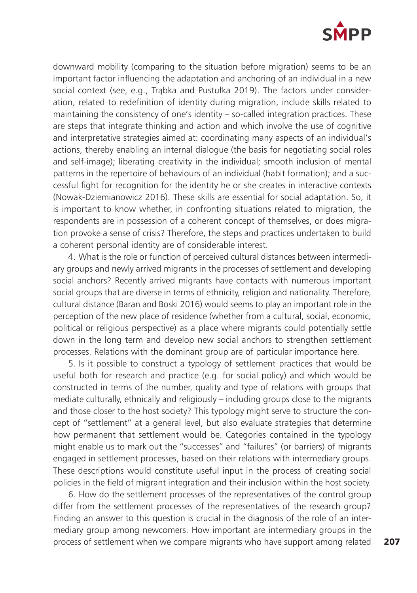

downward mobility (comparing to the situation before migration) seems to be an important factor influencing the adaptation and anchoring of an individual in a new social context (see, e.g., Trąbka and Pustułka 2019). The factors under consideration, related to redefinition of identity during migration, include skills related to maintaining the consistency of one's identity – so-called integration practices. These are steps that integrate thinking and action and which involve the use of cognitive and interpretative strategies aimed at: coordinating many aspects of an individual's actions, thereby enabling an internal dialogue (the basis for negotiating social roles and self-image); liberating creativity in the individual; smooth inclusion of mental patterns in the repertoire of behaviours of an individual (habit formation); and a successful fight for recognition for the identity he or she creates in interactive contexts (Nowak-Dziemianowicz 2016). These skills are essential for social adaptation. So, it is important to know whether, in confronting situations related to migration, the respondents are in possession of a coherent concept of themselves, or does migration provoke a sense of crisis? Therefore, the steps and practices undertaken to build a coherent personal identity are of considerable interest.

4. What is the role or function of perceived cultural distances between intermediary groups and newly arrived migrants in the processes of settlement and developing social anchors? Recently arrived migrants have contacts with numerous important social groups that are diverse in terms of ethnicity, religion and nationality. Therefore, cultural distance (Baran and Boski 2016) would seems to play an important role in the perception of the new place of residence (whether from a cultural, social, economic, political or religious perspective) as a place where migrants could potentially settle down in the long term and develop new social anchors to strengthen settlement processes. Relations with the dominant group are of particular importance here.

5. Is it possible to construct a typology of settlement practices that would be useful both for research and practice (e.g. for social policy) and which would be constructed in terms of the number, quality and type of relations with groups that mediate culturally, ethnically and religiously – including groups close to the migrants and those closer to the host society? This typology might serve to structure the concept of "settlement" at a general level, but also evaluate strategies that determine how permanent that settlement would be. Categories contained in the typology might enable us to mark out the "successes" and "failures" (or barriers) of migrants engaged in settlement processes, based on their relations with intermediary groups. These descriptions would constitute useful input in the process of creating social policies in the field of migrant integration and their inclusion within the host society.

6. How do the settlement processes of the representatives of the control group differ from the settlement processes of the representatives of the research group? Finding an answer to this question is crucial in the diagnosis of the role of an intermediary group among newcomers. How important are intermediary groups in the process of settlement when we compare migrants who have support among related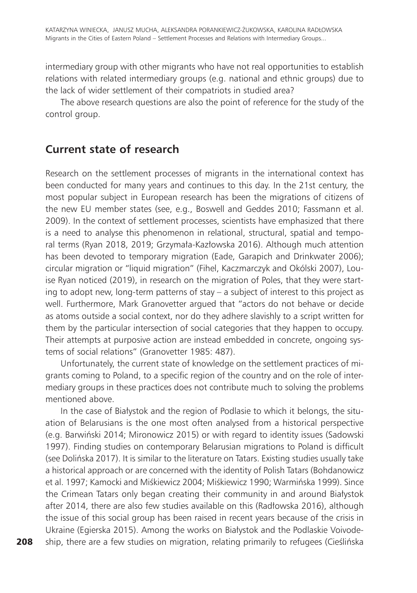intermediary group with other migrants who have not real opportunities to establish relations with related intermediary groups (e.g. national and ethnic groups) due to the lack of wider settlement of their compatriots in studied area?

The above research questions are also the point of reference for the study of the control group.

### **Current state of research**

Research on the settlement processes of migrants in the international context has been conducted for many years and continues to this day. In the 21st century, the most popular subject in European research has been the migrations of citizens of the new EU member states (see, e.g., Boswell and Geddes 2010; Fassmann et al. 2009). In the context of settlement processes, scientists have emphasized that there is a need to analyse this phenomenon in relational, structural, spatial and temporal terms (Ryan 2018, 2019; Grzymała-Kazłowska 2016). Although much attention has been devoted to temporary migration (Eade, Garapich and Drinkwater 2006); circular migration or "liquid migration" (Fihel, Kaczmarczyk and Okólski 2007), Louise Ryan noticed (2019), in research on the migration of Poles, that they were starting to adopt new, long-term patterns of stay – a subject of interest to this project as well. Furthermore, Mark Granovetter argued that "actors do not behave or decide as atoms outside a social context, nor do they adhere slavishly to a script written for them by the particular intersection of social categories that they happen to occupy. Their attempts at purposive action are instead embedded in concrete, ongoing systems of social relations" (Granovetter 1985: 487).

Unfortunately, the current state of knowledge on the settlement practices of migrants coming to Poland, to a specific region of the country and on the role of intermediary groups in these practices does not contribute much to solving the problems mentioned above.

In the case of Białystok and the region of Podlasie to which it belongs, the situation of Belarusians is the one most often analysed from a historical perspective (e.g. Barwiński 2014; Mironowicz 2015) or with regard to identity issues (Sadowski 1997). Finding studies on contemporary Belarusian migrations to Poland is difficult (see Dolińska 2017). It is similar to the literature on Tatars. Existing studies usually take a historical approach or are concerned with the identity of Polish Tatars (Bohdanowicz et al. 1997; Kamocki and Miśkiewicz 2004; Miśkiewicz 1990; Warmińska 1999). Since the Crimean Tatars only began creating their community in and around Białystok after 2014, there are also few studies available on this (Radłowska 2016), although the issue of this social group has been raised in recent years because of the crisis in Ukraine (Egierska 2015). Among the works on Białystok and the Podlaskie Voivodeship, there are a few studies on migration, relating primarily to refugees (Cieślińska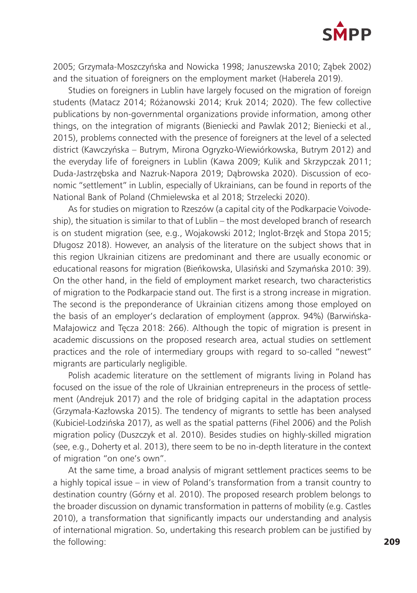

2005; Grzymała-Moszczyńska and Nowicka 1998; Januszewska 2010; Ząbek 2002) and the situation of foreigners on the employment market (Haberela 2019).

Studies on foreigners in Lublin have largely focused on the migration of foreign students (Matacz 2014; Różanowski 2014; Kruk 2014; 2020). The few collective publications by non-governmental organizations provide information, among other things, on the integration of migrants (Bieniecki and Pawlak 2012; Bieniecki et al., 2015), problems connected with the presence of foreigners at the level of a selected district (Kawczyńska – Butrym, Mirona Ogryzko-Wiewiórkowska, Butrym 2012) and the everyday life of foreigners in Lublin (Kawa 2009; Kulik and Skrzypczak 2011; Duda-Jastrzębska and Nazruk-Napora 2019; Dąbrowska 2020). Discussion of economic "settlement" in Lublin, especially of Ukrainians, can be found in reports of the National Bank of Poland (Chmielewska et al 2018; Strzelecki 2020).

As for studies on migration to Rzeszów (a capital city of the Podkarpacie Voivodeship), the situation is similar to that of Lublin – the most developed branch of research is on student migration (see, e.g., Wojakowski 2012; Inglot-Brzęk and Stopa 2015; Długosz 2018). However, an analysis of the literature on the subject shows that in this region Ukrainian citizens are predominant and there are usually economic or educational reasons for migration (Bieńkowska, Ulasiński and Szymańska 2010: 39). On the other hand, in the field of employment market research, two characteristics of migration to the Podkarpacie stand out. The first is a strong increase in migration. The second is the preponderance of Ukrainian citizens among those employed on the basis of an employer's declaration of employment (approx. 94%) (Barwińska-Małajowicz and Tęcza 2018: 266). Although the topic of migration is present in academic discussions on the proposed research area, actual studies on settlement practices and the role of intermediary groups with regard to so-called "newest" migrants are particularly negligible.

Polish academic literature on the settlement of migrants living in Poland has focused on the issue of the role of Ukrainian entrepreneurs in the process of settlement (Andrejuk 2017) and the role of bridging capital in the adaptation process (Grzymała-Kazłowska 2015). The tendency of migrants to settle has been analysed (Kubiciel-Lodzińska 2017), as well as the spatial patterns (Fihel 2006) and the Polish migration policy (Duszczyk et al. 2010). Besides studies on highly-skilled migration (see, e.g., Doherty et al. 2013), there seem to be no in-depth literature in the context of migration "on one's own".

At the same time, a broad analysis of migrant settlement practices seems to be a highly topical issue – in view of Poland's transformation from a transit country to destination country (Górny et al. 2010). The proposed research problem belongs to the broader discussion on dynamic transformation in patterns of mobility (e.g. Castles 2010), a transformation that significantly impacts our understanding and analysis of international migration. So, undertaking this research problem can be justified by the following: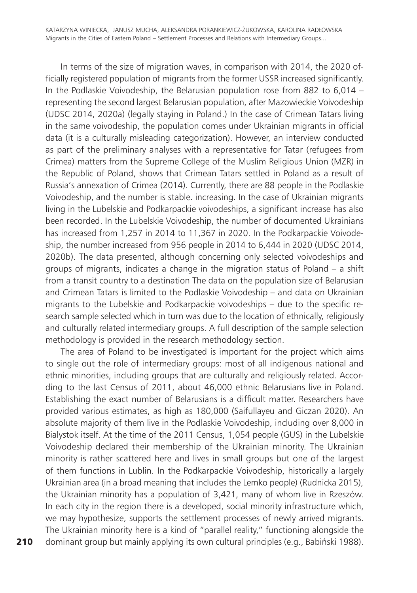In terms of the size of migration waves, in comparison with 2014, the 2020 officially registered population of migrants from the former USSR increased significantly. In the Podlaskie Voivodeship, the Belarusian population rose from 882 to  $6,014$  – representing the second largest Belarusian population, after Mazowieckie Voivodeship (UDSC 2014, 2020a) (legally staying in Poland.) In the case of Crimean Tatars living in the same voivodeship, the population comes under Ukrainian migrants in official data (it is a culturally misleading categorization). However, an interview conducted as part of the preliminary analyses with a representative for Tatar (refugees from Crimea) matters from the Supreme College of the Muslim Religious Union (MZR) in the Republic of Poland, shows that Crimean Tatars settled in Poland as a result of Russia's annexation of Crimea (2014). Currently, there are 88 people in the Podlaskie Voivodeship, and the number is stable. increasing. In the case of Ukrainian migrants living in the Lubelskie and Podkarpackie voivodeships, a significant increase has also been recorded. In the Lubelskie Voivodeship, the number of documented Ukrainians has increased from 1,257 in 2014 to 11,367 in 2020. In the Podkarpackie Voivodeship, the number increased from 956 people in 2014 to 6,444 in 2020 (UDSC 2014, 2020b). The data presented, although concerning only selected voivodeships and groups of migrants, indicates a change in the migration status of Poland – a shift from a transit country to a destination The data on the population size of Belarusian and Crimean Tatars is limited to the Podlaskie Voivodeship – and data on Ukrainian migrants to the Lubelskie and Podkarpackie voivodeships – due to the specific research sample selected which in turn was due to the location of ethnically, religiously and culturally related intermediary groups. A full description of the sample selection methodology is provided in the research methodology section.

The area of Poland to be investigated is important for the project which aims to single out the role of intermediary groups: most of all indigenous national and ethnic minorities, including groups that are culturally and religiously related. According to the last Census of 2011, about 46,000 ethnic Belarusians live in Poland. Establishing the exact number of Belarusians is a difficult matter. Researchers have provided various estimates, as high as 180,000 (Saifullayeu and Giczan 2020). An absolute majority of them live in the Podlaskie Voivodeship, including over 8,000 in Bialystok itself. At the time of the 2011 Census, 1,054 people (GUS) in the Lubelskie Voivodeship declared their membership of the Ukrainian minority. The Ukrainian minority is rather scattered here and lives in small groups but one of the largest of them functions in Lublin. In the Podkarpackie Voivodeship, historically a largely Ukrainian area (in a broad meaning that includes the Lemko people) (Rudnicka 2015), the Ukrainian minority has a population of 3,421, many of whom live in Rzeszów. In each city in the region there is a developed, social minority infrastructure which, we may hypothesize, supports the settlement processes of newly arrived migrants. The Ukrainian minority here is a kind of "parallel reality," functioning alongside the dominant group but mainly applying its own cultural principles (e.g., Babiński 1988).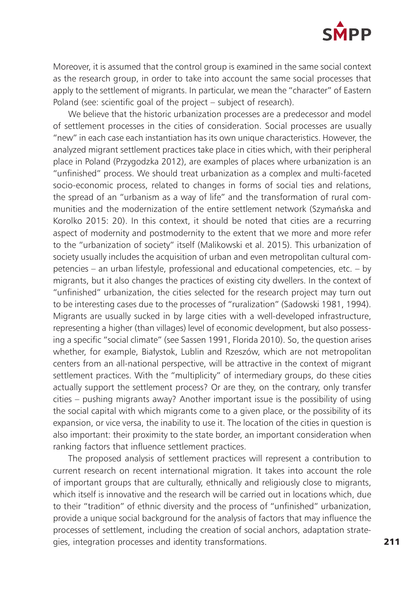

Moreover, it is assumed that the control group is examined in the same social context as the research group, in order to take into account the same social processes that apply to the settlement of migrants. In particular, we mean the "character" of Eastern Poland (see: scientific goal of the project – subject of research).

We believe that the historic urbanization processes are a predecessor and model of settlement processes in the cities of consideration. Social processes are usually "new" in each case each instantiation has its own unique characteristics. However, the analyzed migrant settlement practices take place in cities which, with their peripheral place in Poland (Przygodzka 2012), are examples of places where urbanization is an "unfinished" process. We should treat urbanization as a complex and multi-faceted socio-economic process, related to changes in forms of social ties and relations, the spread of an "urbanism as a way of life" and the transformation of rural communities and the modernization of the entire settlement network (Szymańska and Korolko 2015: 20). In this context, it should be noted that cities are a recurring aspect of modernity and postmodernity to the extent that we more and more refer to the "urbanization of society" itself (Malikowski et al. 2015). This urbanization of society usually includes the acquisition of urban and even metropolitan cultural competencies – an urban lifestyle, professional and educational competencies, etc. – by migrants, but it also changes the practices of existing city dwellers. In the context of "unfinished" urbanization, the cities selected for the research project may turn out to be interesting cases due to the processes of "ruralization" (Sadowski 1981, 1994). Migrants are usually sucked in by large cities with a well-developed infrastructure, representing a higher (than villages) level of economic development, but also possessing a specific "social climate" (see Sassen 1991, Florida 2010). So, the question arises whether, for example, Białystok, Lublin and Rzeszów, which are not metropolitan centers from an all-national perspective, will be attractive in the context of migrant settlement practices. With the "multiplicity" of intermediary groups, do these cities actually support the settlement process? Or are they, on the contrary, only transfer cities – pushing migrants away? Another important issue is the possibility of using the social capital with which migrants come to a given place, or the possibility of its expansion, or vice versa, the inability to use it. The location of the cities in question is also important: their proximity to the state border, an important consideration when ranking factors that influence settlement practices.

The proposed analysis of settlement practices will represent a contribution to current research on recent international migration. It takes into account the role of important groups that are culturally, ethnically and religiously close to migrants, which itself is innovative and the research will be carried out in locations which, due to their "tradition" of ethnic diversity and the process of "unfinished" urbanization, provide a unique social background for the analysis of factors that may influence the processes of settlement, including the creation of social anchors, adaptation strategies, integration processes and identity transformations.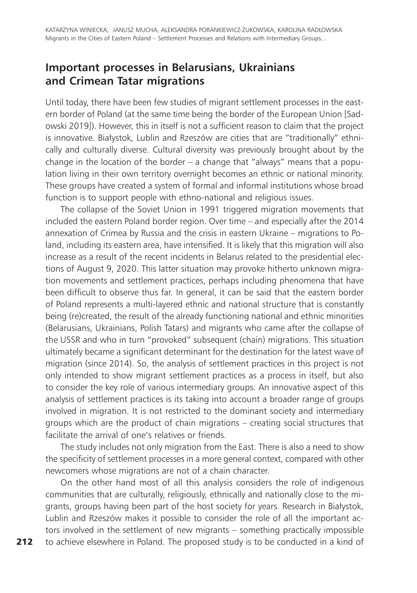### **Important processes in Belarusians, Ukrainians and Crimean Tatar migrations**

Until today, there have been few studies of migrant settlement processes in the eastern border of Poland (at the same time being the border of the European Union [Sadowski 2019]). However, this in itself is not a sufficient reason to claim that the project is innovative. Białystok, Lublin and Rzeszów are cities that are "traditionally" ethnically and culturally diverse. Cultural diversity was previously brought about by the change in the location of the border – a change that "always" means that a population living in their own territory overnight becomes an ethnic or national minority. These groups have created a system of formal and informal institutions whose broad function is to support people with ethno-national and religious issues.

The collapse of the Soviet Union in 1991 triggered migration movements that included the eastern Poland border region. Over time – and especially after the 2014 annexation of Crimea by Russia and the crisis in eastern Ukraine – migrations to Poland, including its eastern area, have intensified. It is likely that this migration will also increase as a result of the recent incidents in Belarus related to the presidential elections of August 9, 2020. This latter situation may provoke hitherto unknown migration movements and settlement practices, perhaps including phenomena that have been difficult to observe thus far. In general, it can be said that the eastern border of Poland represents a multi-layered ethnic and national structure that is constantly being (re)created, the result of the already functioning national and ethnic minorities (Belarusians, Ukrainians, Polish Tatars) and migrants who came after the collapse of the USSR and who in turn "provoked" subsequent (chain) migrations. This situation ultimately became a significant determinant for the destination for the latest wave of migration (since 2014). So, the analysis of settlement practices in this project is not only intended to show migrant settlement practices as a process in itself, but also to consider the key role of various intermediary groups. An innovative aspect of this analysis of settlement practices is its taking into account a broader range of groups involved in migration. It is not restricted to the dominant society and intermediary groups which are the product of chain migrations – creating social structures that facilitate the arrival of one's relatives or friends.

The study includes not only migration from the East. There is also a need to show the specificity of settlement processes in a more general context, compared with other newcomers whose migrations are not of a chain character.

On the other hand most of all this analysis considers the role of indigenous communities that are culturally, religiously, ethnically and nationally close to the migrants, groups having been part of the host society for years. Research in Białystok, Lublin and Rzeszów makes it possible to consider the role of all the important actors involved in the settlement of new migrants – something practically impossible to achieve elsewhere in Poland. The proposed study is to be conducted in a kind of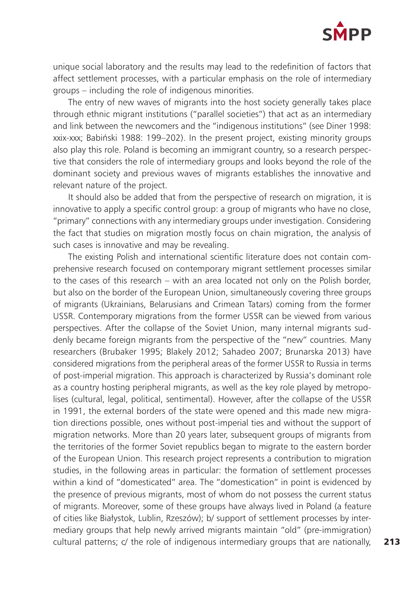

unique social laboratory and the results may lead to the redefinition of factors that affect settlement processes, with a particular emphasis on the role of intermediary groups – including the role of indigenous minorities.

The entry of new waves of migrants into the host society generally takes place through ethnic migrant institutions ("parallel societies") that act as an intermediary and link between the newcomers and the "indigenous institutions" (see Diner 1998: xxix-xxx; Babiński 1988: 199–202). In the present project, existing minority groups also play this role. Poland is becoming an immigrant country, so a research perspective that considers the role of intermediary groups and looks beyond the role of the dominant society and previous waves of migrants establishes the innovative and relevant nature of the project.

It should also be added that from the perspective of research on migration, it is innovative to apply a specific control group: a group of migrants who have no close, "primary" connections with any intermediary groups under investigation. Considering the fact that studies on migration mostly focus on chain migration, the analysis of such cases is innovative and may be revealing.

The existing Polish and international scientific literature does not contain comprehensive research focused on contemporary migrant settlement processes similar to the cases of this research – with an area located not only on the Polish border, but also on the border of the European Union, simultaneously covering three groups of migrants (Ukrainians, Belarusians and Crimean Tatars) coming from the former USSR. Contemporary migrations from the former USSR can be viewed from various perspectives. After the collapse of the Soviet Union, many internal migrants suddenly became foreign migrants from the perspective of the "new" countries. Many researchers (Brubaker 1995; Blakely 2012; Sahadeo 2007; Brunarska 2013) have considered migrations from the peripheral areas of the former USSR to Russia in terms of post-imperial migration. This approach is characterized by Russia's dominant role as a country hosting peripheral migrants, as well as the key role played by metropolises (cultural, legal, political, sentimental). However, after the collapse of the USSR in 1991, the external borders of the state were opened and this made new migration directions possible, ones without post-imperial ties and without the support of migration networks. More than 20 years later, subsequent groups of migrants from the territories of the former Soviet republics began to migrate to the eastern border of the European Union. This research project represents a contribution to migration studies, in the following areas in particular: the formation of settlement processes within a kind of "domesticated" area. The "domestication" in point is evidenced by the presence of previous migrants, most of whom do not possess the current status of migrants. Moreover, some of these groups have always lived in Poland (a feature of cities like Białystok, Lublin, Rzeszów); b/ support of settlement processes by intermediary groups that help newly arrived migrants maintain "old" (pre-immigration) cultural patterns; c/ the role of indigenous intermediary groups that are nationally,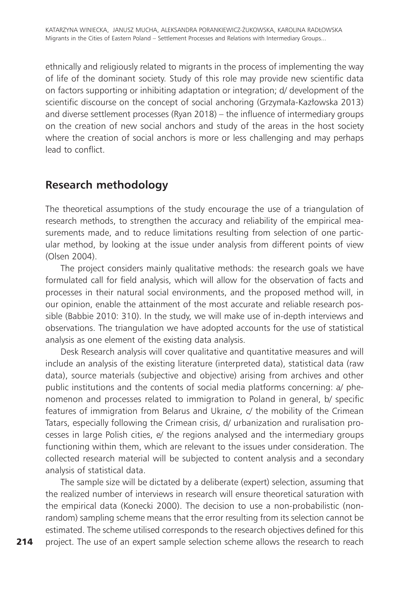ethnically and religiously related to migrants in the process of implementing the way of life of the dominant society. Study of this role may provide new scientific data on factors supporting or inhibiting adaptation or integration; d/ development of the scientific discourse on the concept of social anchoring (Grzymała-Kazłowska 2013) and diverse settlement processes (Ryan 2018) – the influence of intermediary groups on the creation of new social anchors and study of the areas in the host society where the creation of social anchors is more or less challenging and may perhaps lead to conflict.

## **Research methodology**

The theoretical assumptions of the study encourage the use of a triangulation of research methods, to strengthen the accuracy and reliability of the empirical measurements made, and to reduce limitations resulting from selection of one particular method, by looking at the issue under analysis from different points of view (Olsen 2004).

The project considers mainly qualitative methods: the research goals we have formulated call for field analysis, which will allow for the observation of facts and processes in their natural social environments, and the proposed method will, in our opinion, enable the attainment of the most accurate and reliable research possible (Babbie 2010: 310). In the study, we will make use of in-depth interviews and observations. The triangulation we have adopted accounts for the use of statistical analysis as one element of the existing data analysis.

Desk Research analysis will cover qualitative and quantitative measures and will include an analysis of the existing literature (interpreted data), statistical data (raw data), source materials (subjective and objective) arising from archives and other public institutions and the contents of social media platforms concerning: a/ phenomenon and processes related to immigration to Poland in general, b/ specific features of immigration from Belarus and Ukraine, c/ the mobility of the Crimean Tatars, especially following the Crimean crisis, d/ urbanization and ruralisation processes in large Polish cities, e/ the regions analysed and the intermediary groups functioning within them, which are relevant to the issues under consideration. The collected research material will be subjected to content analysis and a secondary analysis of statistical data.

The sample size will be dictated by a deliberate (expert) selection, assuming that the realized number of interviews in research will ensure theoretical saturation with the empirical data (Konecki 2000). The decision to use a non-probabilistic (nonrandom) sampling scheme means that the error resulting from its selection cannot be estimated. The scheme utilised corresponds to the research objectives defined for this project. The use of an expert sample selection scheme allows the research to reach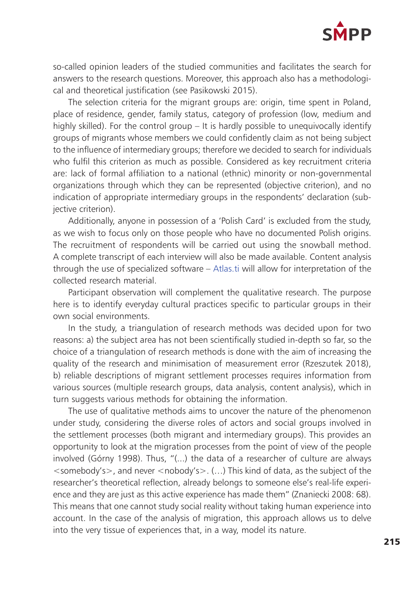

so-called opinion leaders of the studied communities and facilitates the search for answers to the research questions. Moreover, this approach also has a methodological and theoretical justification (see Pasikowski 2015).

The selection criteria for the migrant groups are: origin, time spent in Poland, place of residence, gender, family status, category of profession (low, medium and highly skilled). For the control group – It is hardly possible to unequivocally identify groups of migrants whose members we could confidently claim as not being subject to the influence of intermediary groups; therefore we decided to search for individuals who fulfil this criterion as much as possible. Considered as key recruitment criteria are: lack of formal affiliation to a national (ethnic) minority or non-governmental organizations through which they can be represented (objective criterion), and no indication of appropriate intermediary groups in the respondents' declaration (subjective criterion).

Additionally, anyone in possession of a 'Polish Card' is excluded from the study, as we wish to focus only on those people who have no documented Polish origins. The recruitment of respondents will be carried out using the snowball method. A complete transcript of each interview will also be made available. Content analysis through the use of specialized software – [Atlas.ti](http://Atlas.ti) will allow for interpretation of the collected research material.

Participant observation will complement the qualitative research. The purpose here is to identify everyday cultural practices specific to particular groups in their own social environments.

In the study, a triangulation of research methods was decided upon for two reasons: a) the subject area has not been scientifically studied in-depth so far, so the choice of a triangulation of research methods is done with the aim of increasing the quality of the research and minimisation of measurement error (Rzeszutek 2018), b) reliable descriptions of migrant settlement processes requires information from various sources (multiple research groups, data analysis, content analysis), which in turn suggests various methods for obtaining the information.

The use of qualitative methods aims to uncover the nature of the phenomenon under study, considering the diverse roles of actors and social groups involved in the settlement processes (both migrant and intermediary groups). This provides an opportunity to look at the migration processes from the point of view of the people involved (Górny 1998). Thus, "(...) the data of a researcher of culture are always  $\le$ somebody's $>$ , and never  $\le$ nobody's $>$ . (...) This kind of data, as the subject of the researcher's theoretical reflection, already belongs to someone else's real-life experience and they are just as this active experience has made them" (Znaniecki 2008: 68). This means that one cannot study social reality without taking human experience into account. In the case of the analysis of migration, this approach allows us to delve into the very tissue of experiences that, in a way, model its nature.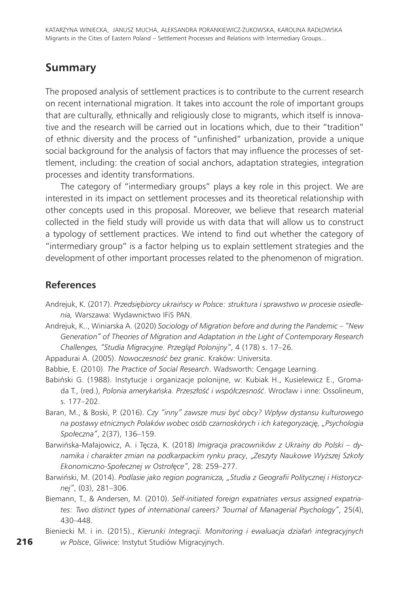#### **Summary**

The proposed analysis of settlement practices is to contribute to the current research on recent international migration. It takes into account the role of important groups that are culturally, ethnically and religiously close to migrants, which itself is innovative and the research will be carried out in locations which, due to their "tradition" of ethnic diversity and the process of "unfinished" urbanization, provide a unique social background for the analysis of factors that may influence the processes of settlement, including: the creation of social anchors, adaptation strategies, integration processes and identity transformations.

The category of "intermediary groups" plays a key role in this project. We are interested in its impact on settlement processes and its theoretical relationship with other concepts used in this proposal. Moreover, we believe that research material collected in the field study will provide us with data that will allow us to construct a typology of settlement practices. We intend to find out whether the category of "intermediary group" is a factor helping us to explain settlement strategies and the development of other important processes related to the phenomenon of migration.

#### **References**

- Andrejuk, K. (2017). *Przedsiębiorcy ukraińscy w Polsce: struktura i sprawstwo w procesie osiedlenia,* Warszawa: Wydawnictwo IFiS PAN.
- Andrejuk, K.., Winiarska A. (2020) *Sociology of Migration before and during the Pandemic "New Generation" of Theories of Migration and Adaptation in the Light of Contemporary Research Challenges, "Studia Migracyjne. Przegląd Polonijny"*, 4 (178) s. 17–26.
- Appadurai A. (2005). *Nowoczesność bez granic*. Kraków: Universita.
- Babbie, E. (2010). *The Practice of Social Research*. Wadsworth: Cengage Learning.
- Babiński G. (1988). Instytucje i organizacje polonijne, w: Kubiak H., Kusielewicz E., Gromada T., (red.), *Polonia amerykańska. Przeszłość i współczesność*. Wrocław i inne: Ossolineum, s. 177–202.
- Baran, M., & Boski, P. (2016). *Czy "inny" zawsze musi być obcy? Wpływ dystansu kulturowego na postawy etnicznych Polaków wobec osób czarnoskórych i ich kategoryzację, "Psychologia Społeczna"*, 2(37), 136–159.
- Barwińska-Małajowicz, A. i Tęcza, K. (2018) *Imigracja pracowników z Ukrainy do Polski dynamika i charakter zmian na podkarpackim rynku pracy*, "*Zeszyty Naukowe Wyższej Szkoły Ekonomiczno-Społecznej w Ostrołęce"*, 28: 259–277.
- Barwiński, M. (2014). *Podlasie jako region pogranicza, "Studia z Geografii Politycznej i Historycznej"*, (03), 281–306.
- Biemann, T., & Andersen, M. (2010). *Self-initiated foreign expatriates versus assigned expatriates: Two distinct types of international careers? "Journal of Managerial Psychology"*, 25(4), 430–448.

Bieniecki M. i in. (2015)., *Kierunki Integracji. Monitoring i ewaluacja działań integracyjnych w Polsce*, Gliwice: Instytut Studiów Migracyjnych.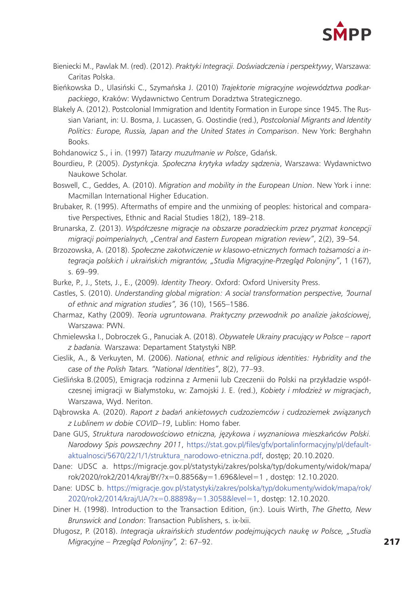

Bieniecki M., Pawlak M. (red). (2012). *Praktyki Integracji. Doświadczenia i perspektywy*, Warszawa: Caritas Polska.

Bieńkowska D., Ulasiński C., Szymańska J. (2010) *Trajektorie migracyjne województwa podkarpackiego*, Kraków: Wydawnictwo Centrum Doradztwa Strategicznego.

Blakely A. (2012). Postcolonial Immigration and Identity Formation in Europe since 1945. The Russian Variant, in: U. Bosma, J. Lucassen, G. Oostindie (red.), *Postcolonial Migrants and Identity Politics: Europe, Russia, Japan and the United States in Comparison*. New York: Berghahn Books.

Bohdanowicz S., i in. (1997) *Tatarzy muzułmanie w Polsce*, Gdańsk.

- Bourdieu, P. (2005). *Dystynkcja. Społeczna krytyka władzy sądzenia*, Warszawa: Wydawnictwo Naukowe Scholar.
- Boswell, C., Geddes, A. (2010). *Migration and mobility in the European Union*. New York i inne: Macmillan International Higher Education.
- Brubaker, R. (1995). Aftermaths of empire and the unmixing of peoples: historical and comparative Perspectives, Ethnic and Racial Studies 18(2), 189–218.
- Brunarska, Z. (2013). *Współczesne migracje na obszarze poradzieckim przez pryzmat koncepcji migracji poimperialnych, "Central and Eastern European migration review"*, 2(2), 39–54.
- Brzozowska, A. (2018). *Społeczne zakotwiczenie w klasowo-etnicznych formach tożsamości a integracja polskich i ukraińskich migrantów, "Studia Migracyjne-Przegląd Polonijny"*, 1 (167), s. 69–99.
- Burke, P., J., Stets, J., E., (2009). *Identity Theory*. Oxford: Oxford University Press.
- Castles, S. (2010). *Understanding global migration: A social transformation perspective, "Journal of ethnic and migration studies",* 36 (10), 1565–1586.
- Charmaz, Kathy (2009). *Teoria ugruntowana. Praktyczny przewodnik po analizie jakościowej*, Warszawa: PWN.
- Chmielewska I., Dobroczek G., Panuciak A. (2018). *Obywatele Ukrainy pracujący w Polsce raport z badania.* Warszawa: Departament Statystyki NBP.
- Cieslik, A., & Verkuyten, M. (2006). *National, ethnic and religious identities: Hybridity and the case of the Polish Tatars. "National Identities"*, 8(2), 77–93.
- Cieślińska B.(2005), Emigracja rodzinna z Armenii lub Czeczenii do Polski na przykładzie współczesnej imigracji w Białymstoku, w: Zamojski J. E. (red.), *Kobiety i młodzież w migracjach*, Warszawa, Wyd. Neriton.
- Dąbrowska A. (2020). *Raport z badań ankietowych cudzoziemców i cudzoziemek związanych z Lublinem w dobie COVID–19*, Lublin: Homo faber.
- Dane GUS, *Struktura narodowościowo etniczna, językowa i wyznaniowa mieszkańców Polski. Narodowy Spis powszechny 2011*[,](https://stat.gov.pl/files/gfx/portalinformacyjny/pl/defaultaktualnosci/5670/22/1/1/struktura_narodowo-etniczna.pdf) [https://stat.gov.pl/files/gfx/portalinformacyjny/pl/default](https://stat.gov.pl/files/gfx/portalinformacyjny/pl/defaultaktualnosci/5670/22/1/1/struktura_narodowo-etniczna.pdf)[aktualnosci/5670/22/1/1/struktura\\_narodowo-etniczna.pdf,](https://stat.gov.pl/files/gfx/portalinformacyjny/pl/defaultaktualnosci/5670/22/1/1/struktura_narodowo-etniczna.pdf) dostęp; 20.10.2020.
- Dane: UDSC a. [https://migracje.gov.pl/statystyki/zakres/polska/typ/dokumenty/widok/mapa/](https://migracje.gov.pl/statystyki/zakres/polska/typ/dokumenty/widok/mapa/rok/2020/rok2/2014/kraj/BY/?x=0.8856&y=1.696&level=1) [rok/2020/rok2/2014/kraj/BY/?x=0.8856&y=1.696&level=1](https://migracje.gov.pl/statystyki/zakres/polska/typ/dokumenty/widok/mapa/rok/2020/rok2/2014/kraj/BY/?x=0.8856&y=1.696&level=1) , dostęp: 12.10.2020.
- Dane: UDSC b. [https://migracje.gov.pl/statystyki/zakres/polska/typ/dokumenty/widok/mapa/rok/](https://migracje.gov.pl/statystyki/zakres/polska/typ/dokumenty/widok/mapa/rok/2020/rok2/2014/kraj/UA/?x=0.8889&y=1.3058&level=1) [2020/rok2/2014/kraj/UA/?x=0.8889&y=1.3058&level=1,](https://migracje.gov.pl/statystyki/zakres/polska/typ/dokumenty/widok/mapa/rok/2020/rok2/2014/kraj/UA/?x=0.8889&y=1.3058&level=1) dostęp: 12.10.2020.
- Diner H. (1998). Introduction to the Transaction Edition, (in:). Louis Wirth, *The Ghetto, New Brunswick and London*: Transaction Publishers, s. ix-lxii.
- Długosz, P. (2018). *Integracja ukraińskich studentów podejmujących naukę w Polsce, "Studia Migracyjne – Przegląd Polonijny",* 2: 67–92.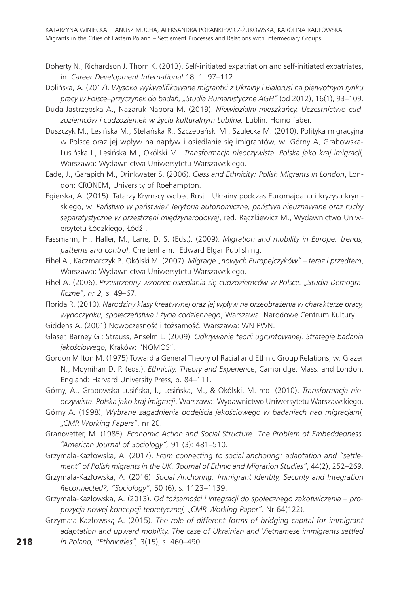- Doherty N., Richardson J. Thorn K. (2013). Self-initiated expatriation and self-initiated expatriates, in: *Career Development International* 18, 1: 97–112.
- Dolińska, A. (2017). *Wysoko wykwalifikowane migrantki z Ukrainy i Białorusi na pierwotnym rynku pracy w Polsce–przyczynek do badań, "Studia Humanistyczne AGH"* (od 2012), 16(1), 93–109.
- Duda-Jastrzębska A., Nazaruk-Napora M. (2019). *Niewidzialni mieszkańcy. Uczestnictwo cudzoziemców i cudzoziemek w życiu kulturalnym Lublina,* Lublin: Homo faber.
- Duszczyk M., Lesińska M., Stefańska R., Szczepański M., Szulecka M. (2010). Polityka migracyjna w Polsce oraz jej wpływ na napływ i osiedlanie się imigrantów, w: Górny A, Grabowska-Lusińska I., Lesińska M., Okólski M.. *Transformacja nieoczywista. Polska jako kraj imigracji,* Warszawa: Wydawnictwa Uniwersytetu Warszawskiego.
- Eade, J., Garapich M., Drinkwater S. (2006). *Class and Ethnicity: Polish Migrants in London*, London: CRONEM, University of Roehampton.
- Egierska, A. (2015). Tatarzy Krymscy wobec Rosji i Ukrainy podczas Euromajdanu i kryzysu krymskiego, w: *Państwo w państwie? Terytoria autonomiczne, państwa nieuznawane oraz ruchy separatystyczne w przestrzeni międzynarodowej*, red. Rączkiewicz M., Wydawnictwo Uniwersytetu Łódzkiego, Łódź .
- Fassmann, H., Haller, M., Lane, D. S. (Eds.). (2009). *Migration and mobility in Europe: trends, patterns and control*, Cheltenham: Edward Elgar Publishing.
- Fihel A., Kaczmarczyk P., Okólski M. (2007). *Migracje "nowych Europejczyków" teraz i przedtem*, Warszawa: Wydawnictwa Uniwersytetu Warszawskiego.
- Fihel A. (2006). *Przestrzenny wzorzec osiedlania się cudzoziemców w Polsce. "Studia Demograficzne"*, *nr 2,* s. 49–67.
- Florida R. (2010). *Narodziny klasy kreatywnej oraz jej wpływ na przeobrażenia w charakterze pracy, wypoczynku, społeczeństwa i życia codziennego*, Warszawa: Narodowe Centrum Kultury.
- Giddens A. (2001) Nowoczesność i tożsamość. Warszawa: WN PWN.
- Glaser, Barney G.; Strauss, Anselm L. (2009). *Odkrywanie teorii ugruntowanej. Strategie badania jakościowego,* Kraków: "NOMOS".
- Gordon Milton M. (1975) Toward a General Theory of Racial and Ethnic Group Relations, w: Glazer N., Moynihan D. P. (eds.), *Ethnicity. Theory and Experience*, Cambridge, Mass. and London, England: Harvard University Press, p. 84–111.
- Górny, A., Grabowska-Lusińska, I., Lesińska, M., & Okólski, M. red. (2010), *Transformacja nieoczywista. Polska jako kraj imigracji*, Warszawa: Wydawnictwo Uniwersytetu Warszawskiego.
- Górny A. (1998), *Wybrane zagadnienia podejścia jakościowego w badaniach nad migracjami, "CMR Working Papers"*, nr 20.
- Granovetter, M. (1985). *Economic Action and Social Structure: The Problem of Embeddedness. "American Journal of Sociology",* 91 (3): 481–510.
- Grzymala-Kazłowska, A. (2017). *From connecting to social anchoring: adaptation and "settlement" of Polish migrants in the UK. "Journal of Ethnic and Migration Studies"*, 44(2), 252–269.
- Grzymała-Kazłowska, A. (2016). *Social Anchoring: Immigrant Identity, Security and Integration Reconnected?, "Sociology"*, 50 (6), s. 1123–1139.
- Grzymala-Kazłowska, A. (2013). *Od tożsamości i integracji do społecznego zakotwiczenia propozycja nowej koncepcji teoretycznej, "CMR Working Paper",* Nr 64(122).
- Grzymała-Kazłowską A. (2015). *The role of different forms of bridging capital for immigrant adaptation and upward mobility. The case of Ukrainian and Vietnamese immigrants settled in Poland,* "*Ethnicities",* 3(15), s. 460–490.

218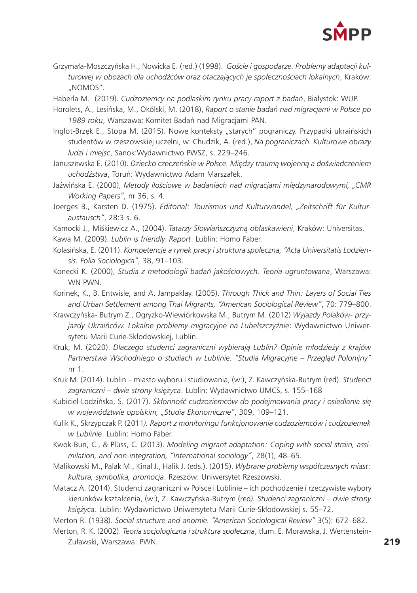

Grzymała-Moszczyńska H., Nowicka E. (red.) (1998). *Goście i gospodarze. Problemy adaptacji kulturowej w obozach dla uchodźców oraz otaczających je społecznościach lokalnych*, Kraków: "NOMOS".

Haberla M. (2019). *Cudzoziemcy na podlaskim rynku pracy-raport z badań*, Białystok: WUP.

- Horolets, A., Lesińska, M., Okólski, M. (2018), *Raport o stanie badań nad migracjami w Polsce po 1989 roku*, Warszawa: Komitet Badań nad Migracjami PAN.
- Inglot-Brzęk E., Stopa M. (2015). Nowe konteksty "starych" pograniczy. Przypadki ukraińskich studentów w rzeszowskiej uczelni, w: Chudzik, A. (red.), *Na pograniczach. Kulturowe obrazy ludzi i miejsc*, Sanok:Wydawnictwo PWSZ, s. 229–246.
- Januszewska E. (2010). *Dziecko czeczeńskie w Polsce. Między traumą wojenną a doświadczeniem uchodźstwa*, Toruń: Wydawnictwo Adam Marszałek.
- Jaźwińska E. (2000), *Metody ilościowe w badaniach nad migracjami międzynarodowymi, "CMR Working Papers"*, nr 36, s. 4.
- Joerges B., Karsten D. (1975). *Editorial: Tourismus und Kulturwandel, "Zeitschrift für Kulturaustausch"*, 28:3 s. 6.
- Kamocki J., Miśkiewicz A., (2004). *Tatarzy Słowiańszczyzną obłaskawieni*, Kraków: Universitas.
- Kawa M. (2009). *Lublin is friendly. Raport*. Lublin: Homo Faber.
- Kolasińska, E. (2011). *Kompetencje a rynek pracy i struktura społeczna, "Acta Universitatis Lodziensis. Folia Sociologica"*, 38, 91–103.
- Konecki K. (2000), *Studia z metodologii badań jakościowych. Teoria ugruntowana*, Warszawa: WN PWN.
- Korinek, K., B. Entwisle, and A. Jampaklay. (2005). *Through Thick and Thin: Layers of Social Ties and Urban Settlement among Thai Migrants, "American Sociological Review"*, 70: 779–800.
- Krawczyńska- Butrym Z., Ogryzko-Wiewiórkowska M., Butrym M. (2012) *Wyjazdy Polaków- przyjazdy Ukraińców. Lokalne problemy migracyjne na Lubelszczyźnie*: Wydawnictwo Uniwersytetu Marii Curie-Skłodowskiej, Lublin.
- Kruk, M. (2020). *Dlaczego studenci zagraniczni wybierają Lublin? Opinie młodzieży z krajów Partnerstwa Wschodniego o studiach w Lublinie. "Studia Migracyjne – Przegląd Polonijny"* nr 1.
- Kruk M. (2014). Lublin miasto wyboru i studiowania, (w:), Z. Kawczyńska-Butrym (red). *Studenci zagraniczni – dwie strony księżyca*. Lublin: Wydawnictwo UMCS, s. 155–168
- Kubiciel-Lodzińska, S. (2017). *Skłonność cudzoziemców do podejmowania pracy i osiedlania się w województwie opolskim, "Studia Ekonomiczne"*, 309, 109–121.
- Kulik K., Skrzypczak P. (2011*). Raport z monitoringu funkcjonowania cudzoziemców i cudzoziemek w Lublinie*. Lublin: Homo Faber.
- Kwok-Bun, C., & Plüss, C. (2013). *Modeling migrant adaptation: Coping with social strain, assimilation, and non-integration, "International sociology"*, 28(1), 48–65.
- Malikowski M., Palak M., Kinal J., Halik J. (eds.). (2015). *Wybrane problemy współczesnych miast: kultura, symbolika, promocja*. Rzeszów: Uniwersytet Rzeszowski.
- Matacz A. (2014). Studenci zagraniczni w Polsce i Lublinie ich pochodzenie i rzeczywiste wybory kierunków kształcenia, (w:), Z. Kawczyńska-Butrym (red*). Studenci zagraniczni – dwie strony księżyca.* Lublin: Wydawnictwo Uniwersytetu Marii Curie-Skłodowskiej s. 55–72.

Merton R. (1938). *Social structure and anomie. "American Sociological Review"* 3(5): 672–682.

Merton, R. K. (2002). *Teoria socjologiczna i struktura społeczna*, tłum. E. Morawska, J. Wertenstein-Żuławski, Warszawa: PWN.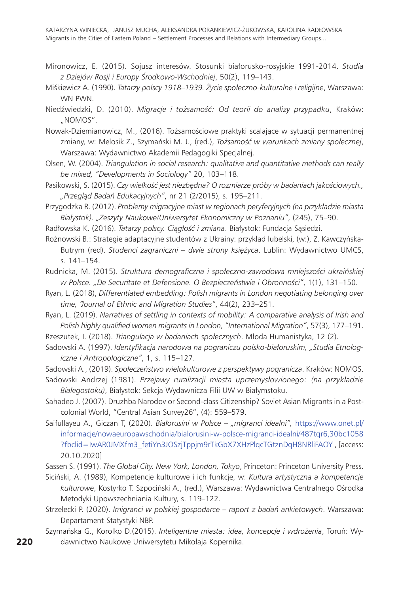Katarzyna Winiecka, Janusz Mucha, Aleksandra Porankiewicz-Żukowska, Karolina Radłowska Migrants in the Cities of Eastern Poland – Settlement Processes and Relations with Intermediary Groups...

- Mironowicz, E. (2015). Sojusz interesów. Stosunki białorusko‑rosyjskie 1991‑2014. *Studia z Dziejów Rosji i Europy Środkowo-Wschodniej*, 50(2), 119–143.
- Miśkiewicz A. (1990). *Tatarzy polscy 1918–1939. Życie społeczno-kulturalne i religijne*, Warszawa: WN PWN.
- Niedźwiedzki, D. (2010). *Migracje i tożsamość: Od teorii do analizy przypadku*, Kraków: "NOMOS".

Nowak-Dziemianowicz, M., (2016). Tożsamościowe praktyki scalające w sytuacji permanentnej zmiany, w: Melosik Z., Szymański M. J., (red.), *Tożsamość w warunkach zmiany społecznej*, Warszawa: Wydawnictwo Akademii Pedagogiki Specjalnej.

- Olsen, W. (2004). *Triangulation in social research: qualitative and quantitative methods can really be mixed, "Developments in Sociology"* 20, 103–118.
- Pasikowski, S. (2015). *Czy wielkość jest niezbędna? O rozmiarze próby w badaniach jakościowych., "Przegląd Badań Edukacyjnych"*, nr 21 (2/2015), s. 195–211.
- Przygodzka R. (2012). *Problemy migracyjne miast w regionach peryferyjnych (na przykładzie miasta Białystok). "Zeszyty Naukowe/Uniwersytet Ekonomiczny w Poznaniu"*, (245), 75–90.
- Radłowska K. (2016). *Tatarzy polscy. Ciągłość i zmiana*. Białystok: Fundacja Sąsiedzi.

Rożnowski B.: Strategie adaptacyjne studentów z Ukrainy: przykład lubelski, (w:), Z. Kawczyńska-Butrym (red). *Studenci zagraniczni – dwie strony księżyca*. Lublin: Wydawnictwo UMCS, s. 141–154.

Rudnicka, M. (2015). *Struktura demograficzna i społeczno-zawodowa mniejszości ukraińskiej w Polsce. "De Securitate et Defensione. O Bezpieczeństwie i Obronności"*, 1(1), 131–150.

- Ryan, L. (2018), *Differentiated embedding: Polish migrants in London negotiating belonging over time, "Journal of Ethnic and Migration Studies"*, 44(2), 233–251.
- Ryan, L. (2019). *Narratives of settling in contexts of mobility: A comparative analysis of Irish and Polish highly qualified women migrants in London, "International Migration"*, 57(3), 177–191.
- Rzeszutek, I. (2018). *Triangulacja w badaniach społecznych*. Młoda Humanistyka, 12 (2).
- Sadowski A. (1997). *Identyfikacja narodowa na pograniczu polsko-białoruskim, "Studia Etnologiczne i Antropologiczne"*, 1, s. 115–127.

Sadowski A., (2019). *Społeczeństwo wielokulturowe z perspektywy pogranicza*. Kraków: NOMOS.

- Sadowski Andrzej (1981). *Przejawy ruralizacji miasta uprzemysłowionego: (na przykładzie Białegostoku)*, Białystok: Sekcja Wydawnicza Filii UW w Białymstoku.
- Sahadeo J. (2007). Druzhba Narodov or Second-class Citizenship? Soviet Asian Migrants in a Postcolonial World, "Central Asian Survey26", (4): 559–579.
- Saifullayeu A., Giczan T, (2020). *Białorusini w Polsce "migranci idealni",* [https://www.onet.pl/](https://www.onet.pl/informacje/nowaeuropawschodnia/bialorusini-w-polsce-migranci-idealni/487tqr6,30bc1058?fbclid=IwAR0JMXfm3_fetiYn3JOSzjTppjm9rTkGbX7XHzPlqcTGtznDqH8NRliFAOY) [informacje/nowaeuropawschodnia/bialorusini-w-polsce-migranci-idealni/487tqr6,30bc1058](https://www.onet.pl/informacje/nowaeuropawschodnia/bialorusini-w-polsce-migranci-idealni/487tqr6,30bc1058?fbclid=IwAR0JMXfm3_fetiYn3JOSzjTppjm9rTkGbX7XHzPlqcTGtznDqH8NRliFAOY) [?fbclid=IwAR0JMXfm3\\_fetiYn3JOSzjTppjm9rTkGbX7XHzPlqcTGtznDqH8NRliFAOY](https://www.onet.pl/informacje/nowaeuropawschodnia/bialorusini-w-polsce-migranci-idealni/487tqr6,30bc1058?fbclid=IwAR0JMXfm3_fetiYn3JOSzjTppjm9rTkGbX7XHzPlqcTGtznDqH8NRliFAOY) , [access: 20.10.2020]

Sassen S. (1991). *The Global City. New York, London, Tokyo*, Princeton: Princeton University Press.

- Siciński, A. (1989), Kompetencje kulturowe i ich funkcje, w: *Kultura artystyczna a kompetencje kulturowe*, Kostyrko T. Szpociński A., (red.), Warszawa: Wydawnictwa Centralnego Ośrodka Metodyki Upowszechniania Kultury, s. 119–122.
- Strzelecki P. (2020). *Imigranci w polskiej gospodarce raport z badań ankietowych*. Warszawa: Departament Statystyki NBP.
- Szymańska G., Korolko D.(2015). *Inteligentne miasta: idea, koncepcje i wdrożenia*, Toruń: Wydawnictwo Naukowe Uniwersytetu Mikołaja Kopernika.